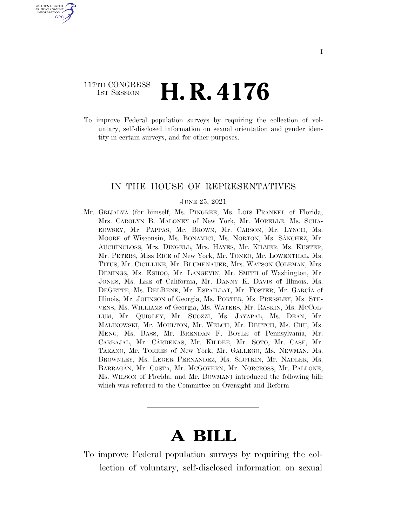## 117TH CONGRESS **1st Session H. R. 4176**

U.S. GOVERNMENT **GPO** 

> To improve Federal population surveys by requiring the collection of voluntary, self-disclosed information on sexual orientation and gender identity in certain surveys, and for other purposes.

### IN THE HOUSE OF REPRESENTATIVES

#### JUNE 25, 2021

Mr. GRIJALVA (for himself, Ms. PINGREE, Ms. LOIS FRANKEL of Florida, Mrs. CAROLYN B. MALONEY of New York, Mr. MORELLE, Ms. SCHA-KOWSKY, Mr. PAPPAS, Mr. BROWN, Mr. CARSON, Mr. LYNCH, Ms. MOORE of Wisconsin, Ms. BONAMICI, Ms. NORTON, Ms. SÁNCHEZ, Mr. AUCHINCLOSS, Mrs. DINGELL, Mrs. HAYES, Mr. KILMER, Ms. KUSTER, Mr. PETERS, Miss RICE of New York, Mr. TONKO, Mr. LOWENTHAL, Ms. TITUS, Mr. CICILLINE, Mr. BLUMENAUER, Mrs. WATSON COLEMAN, Mrs. DEMINGS, Ms. ESHOO, Mr. LANGEVIN, Mr. SMITH of Washington, Mr. JONES, Ms. LEE of California, Mr. DANNY K. DAVIS of Illinois, Ms. DEGETTE, Ms. DELBENE, Mr. ESPAILLAT, Mr. FOSTER, Mr. GARCÍA of Illinois, Mr. JOHNSON of Georgia, Ms. PORTER, Ms. PRESSLEY, Ms. STE-VENS, Ms. WILLIAMS of Georgia, Ms. WATERS, Mr. RASKIN, Ms. MCCOL-LUM, Mr. QUIGLEY, Mr. SUOZZI, Ms. JAYAPAL, Ms. DEAN, Mr. MALINOWSKI, Mr. MOULTON, Mr. WELCH, Mr. DEUTCH, Ms. CHU, Ms. MENG, Ms. BASS, Mr. BRENDAN F. BOYLE of Pennsylvania, Mr. CARBAJAL, Mr. CÁRDENAS, Mr. KILDEE, Mr. SOTO, Mr. CASE, Mr. TAKANO, Mr. TORRES of New York, Mr. GALLEGO, Ms. NEWMAN, Ms. BROWNLEY, Ms. LEGER FERNANDEZ, Ms. SLOTKIN, Mr. NADLER, Ms. BARRAGA´N, Mr. COSTA, Mr. MCGOVERN, Mr. NORCROSS, Mr. PALLONE, Ms. WILSON of Florida, and Mr. BOWMAN) introduced the following bill; which was referred to the Committee on Oversight and Reform

# **A BILL**

To improve Federal population surveys by requiring the collection of voluntary, self-disclosed information on sexual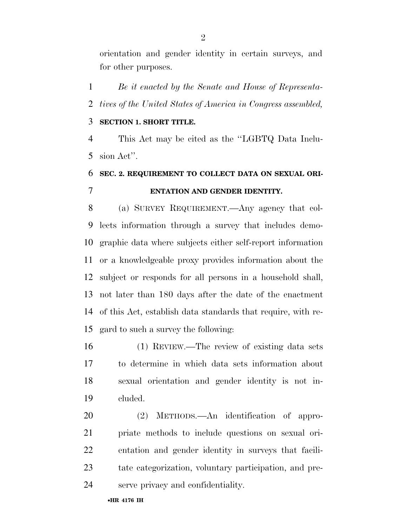orientation and gender identity in certain surveys, and for other purposes.

 *Be it enacted by the Senate and House of Representa-tives of the United States of America in Congress assembled,* 

### **SECTION 1. SHORT TITLE.**

 This Act may be cited as the ''LGBTQ Data Inclu-sion Act''.

# **SEC. 2. REQUIREMENT TO COLLECT DATA ON SEXUAL ORI-ENTATION AND GENDER IDENTITY.**

 (a) SURVEY REQUIREMENT.—Any agency that col- lects information through a survey that includes demo- graphic data where subjects either self-report information or a knowledgeable proxy provides information about the subject or responds for all persons in a household shall, not later than 180 days after the date of the enactment of this Act, establish data standards that require, with re-gard to such a survey the following:

 (1) REVIEW.—The review of existing data sets to determine in which data sets information about sexual orientation and gender identity is not in-cluded.

 (2) METHODS.—An identification of appro- priate methods to include questions on sexual ori- entation and gender identity in surveys that facili- tate categorization, voluntary participation, and pre-serve privacy and confidentiality.

•**HR 4176 IH**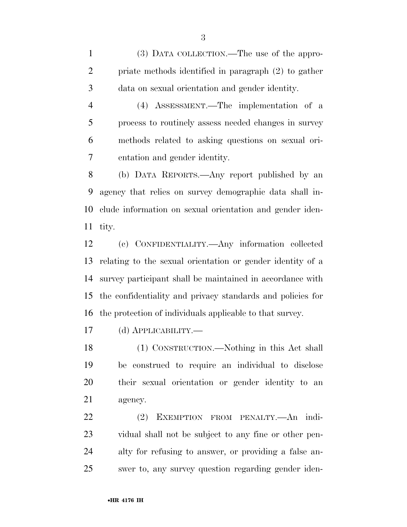(3) DATA COLLECTION.—The use of the appro- priate methods identified in paragraph (2) to gather data on sexual orientation and gender identity.

 (4) ASSESSMENT.—The implementation of a process to routinely assess needed changes in survey methods related to asking questions on sexual ori-entation and gender identity.

 (b) DATA REPORTS.—Any report published by an agency that relies on survey demographic data shall in- clude information on sexual orientation and gender iden-tity.

 (c) CONFIDENTIALITY.—Any information collected relating to the sexual orientation or gender identity of a survey participant shall be maintained in accordance with the confidentiality and privacy standards and policies for the protection of individuals applicable to that survey.

(d) APPLICABILITY.—

 (1) CONSTRUCTION.—Nothing in this Act shall be construed to require an individual to disclose their sexual orientation or gender identity to an agency.

 (2) EXEMPTION FROM PENALTY.—An indi- vidual shall not be subject to any fine or other pen- alty for refusing to answer, or providing a false an-swer to, any survey question regarding gender iden-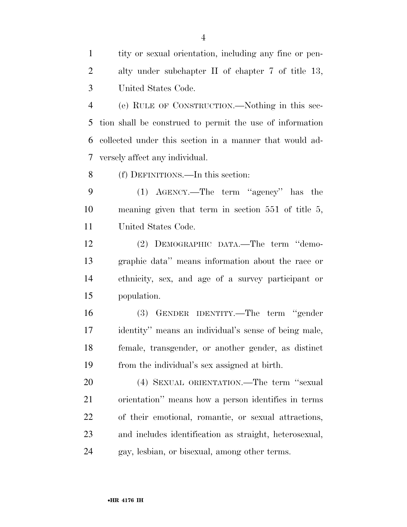tity or sexual orientation, including any fine or pen- alty under subchapter II of chapter 7 of title 13, United States Code.

 (e) RULE OF CONSTRUCTION.—Nothing in this sec- tion shall be construed to permit the use of information collected under this section in a manner that would ad-versely affect any individual.

(f) DEFINITIONS.—In this section:

 (1) AGENCY.—The term ''agency'' has the meaning given that term in section 551 of title 5, United States Code.

 (2) DEMOGRAPHIC DATA.—The term ''demo- graphic data'' means information about the race or ethnicity, sex, and age of a survey participant or population.

 (3) GENDER IDENTITY.—The term ''gender identity'' means an individual's sense of being male, female, transgender, or another gender, as distinct from the individual's sex assigned at birth.

 (4) SEXUAL ORIENTATION.—The term ''sexual orientation'' means how a person identifies in terms of their emotional, romantic, or sexual attractions, and includes identification as straight, heterosexual, gay, lesbian, or bisexual, among other terms.